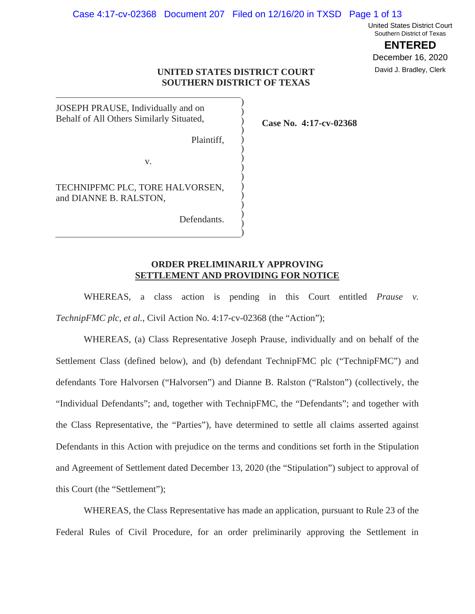#### Case 4:17-cv-02368 Document 207 Filed on 12/16/20 in TXSD Page 1 of 13

United States District Court Southern District of Texas

**ENTERED**

December 16, 2020 David J. Bradley, Clerk

# **UNITED STATES DISTRICT COURT SOUTHERN DISTRICT OF TEXAS**

) ) ) ) ) ) ) ) ) ) ) ) ) ) )

JOSEPH PRAUSE, Individually and on Behalf of All Others Similarly Situated,

Plaintiff,

v.

TECHNIPFMC PLC, TORE HALVORSEN, and DIANNE B. RALSTON,

Defendants.

**Case No. 4:17-cv-02368**

# **ORDER PRELIMINARILY APPROVING SETTLEMENT AND PROVIDING FOR NOTICE**

WHEREAS, a class action is pending in this Court entitled *Prause v. TechnipFMC plc, et al.*, Civil Action No. 4:17-cv-02368 (the "Action");

WHEREAS, (a) Class Representative Joseph Prause, individually and on behalf of the Settlement Class (defined below), and (b) defendant TechnipFMC plc ("TechnipFMC") and defendants Tore Halvorsen ("Halvorsen") and Dianne B. Ralston ("Ralston") (collectively, the "Individual Defendants"; and, together with TechnipFMC, the "Defendants"; and together with the Class Representative, the "Parties"), have determined to settle all claims asserted against Defendants in this Action with prejudice on the terms and conditions set forth in the Stipulation and Agreement of Settlement dated December 13, 2020 (the "Stipulation") subject to approval of this Court (the "Settlement");

WHEREAS, the Class Representative has made an application, pursuant to Rule 23 of the Federal Rules of Civil Procedure, for an order preliminarily approving the Settlement in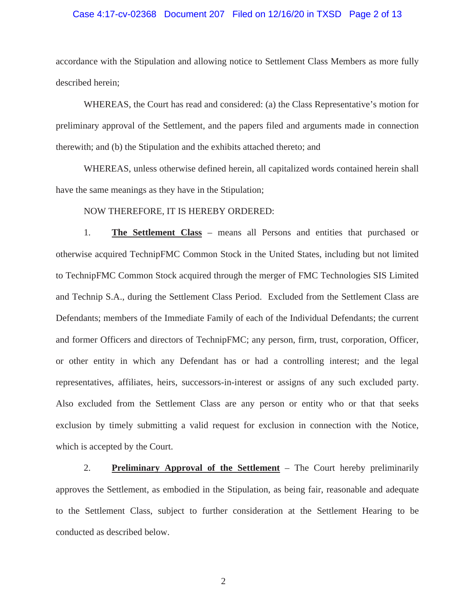# Case 4:17-cv-02368 Document 207 Filed on 12/16/20 in TXSD Page 2 of 13

accordance with the Stipulation and allowing notice to Settlement Class Members as more fully described herein;

WHEREAS, the Court has read and considered: (a) the Class Representative's motion for preliminary approval of the Settlement, and the papers filed and arguments made in connection therewith; and (b) the Stipulation and the exhibits attached thereto; and

WHEREAS, unless otherwise defined herein, all capitalized words contained herein shall have the same meanings as they have in the Stipulation;

NOW THEREFORE, IT IS HEREBY ORDERED:

1. **The Settlement Class** – means all Persons and entities that purchased or otherwise acquired TechnipFMC Common Stock in the United States, including but not limited to TechnipFMC Common Stock acquired through the merger of FMC Technologies SIS Limited and Technip S.A., during the Settlement Class Period. Excluded from the Settlement Class are Defendants; members of the Immediate Family of each of the Individual Defendants; the current and former Officers and directors of TechnipFMC; any person, firm, trust, corporation, Officer, or other entity in which any Defendant has or had a controlling interest; and the legal representatives, affiliates, heirs, successors-in-interest or assigns of any such excluded party. Also excluded from the Settlement Class are any person or entity who or that that seeks exclusion by timely submitting a valid request for exclusion in connection with the Notice, which is accepted by the Court.

2. **Preliminary Approval of the Settlement** – The Court hereby preliminarily approves the Settlement, as embodied in the Stipulation, as being fair, reasonable and adequate to the Settlement Class, subject to further consideration at the Settlement Hearing to be conducted as described below.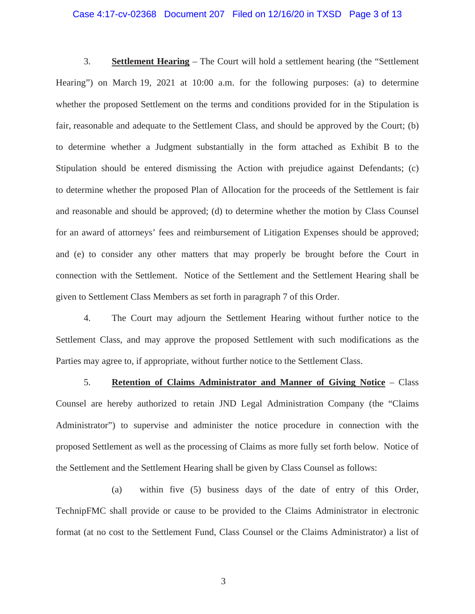### Case 4:17-cv-02368 Document 207 Filed on 12/16/20 in TXSD Page 3 of 13

3. **Settlement Hearing** – The Court will hold a settlement hearing (the "Settlement Hearing") on March 19, 2021 at 10:00 a.m. for the following purposes: (a) to determine whether the proposed Settlement on the terms and conditions provided for in the Stipulation is fair, reasonable and adequate to the Settlement Class, and should be approved by the Court; (b) to determine whether a Judgment substantially in the form attached as Exhibit B to the Stipulation should be entered dismissing the Action with prejudice against Defendants; (c) to determine whether the proposed Plan of Allocation for the proceeds of the Settlement is fair and reasonable and should be approved; (d) to determine whether the motion by Class Counsel for an award of attorneys' fees and reimbursement of Litigation Expenses should be approved; and (e) to consider any other matters that may properly be brought before the Court in connection with the Settlement. Notice of the Settlement and the Settlement Hearing shall be given to Settlement Class Members as set forth in paragraph 7 of this Order.

4. The Court may adjourn the Settlement Hearing without further notice to the Settlement Class, and may approve the proposed Settlement with such modifications as the Parties may agree to, if appropriate, without further notice to the Settlement Class.

5. **Retention of Claims Administrator and Manner of Giving Notice** – Class Counsel are hereby authorized to retain JND Legal Administration Company (the "Claims Administrator") to supervise and administer the notice procedure in connection with the proposed Settlement as well as the processing of Claims as more fully set forth below. Notice of the Settlement and the Settlement Hearing shall be given by Class Counsel as follows:

(a) within five (5) business days of the date of entry of this Order, TechnipFMC shall provide or cause to be provided to the Claims Administrator in electronic format (at no cost to the Settlement Fund, Class Counsel or the Claims Administrator) a list of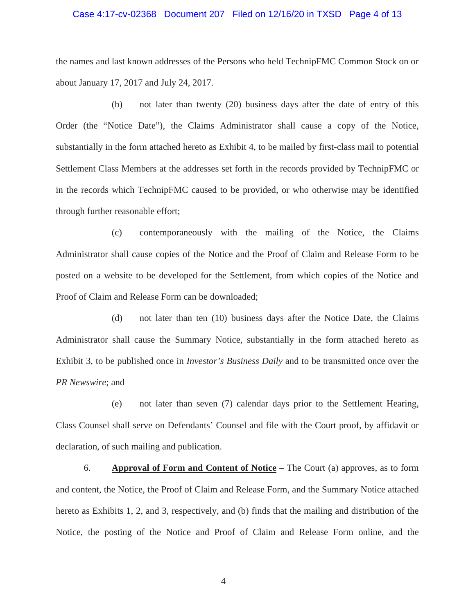## Case 4:17-cv-02368 Document 207 Filed on 12/16/20 in TXSD Page 4 of 13

the names and last known addresses of the Persons who held TechnipFMC Common Stock on or about January 17, 2017 and July 24, 2017.

(b) not later than twenty (20) business days after the date of entry of this Order (the "Notice Date"), the Claims Administrator shall cause a copy of the Notice, substantially in the form attached hereto as Exhibit 4, to be mailed by first-class mail to potential Settlement Class Members at the addresses set forth in the records provided by TechnipFMC or in the records which TechnipFMC caused to be provided, or who otherwise may be identified through further reasonable effort;

(c) contemporaneously with the mailing of the Notice, the Claims Administrator shall cause copies of the Notice and the Proof of Claim and Release Form to be posted on a website to be developed for the Settlement, from which copies of the Notice and Proof of Claim and Release Form can be downloaded;

(d) not later than ten (10) business days after the Notice Date, the Claims Administrator shall cause the Summary Notice, substantially in the form attached hereto as Exhibit 3, to be published once in *Investor's Business Daily* and to be transmitted once over the *PR Newswire*; and

(e) not later than seven (7) calendar days prior to the Settlement Hearing, Class Counsel shall serve on Defendants' Counsel and file with the Court proof, by affidavit or declaration, of such mailing and publication.

6. **Approval of Form and Content of Notice** – The Court (a) approves, as to form and content, the Notice, the Proof of Claim and Release Form, and the Summary Notice attached hereto as Exhibits 1, 2, and 3, respectively, and (b) finds that the mailing and distribution of the Notice, the posting of the Notice and Proof of Claim and Release Form online, and the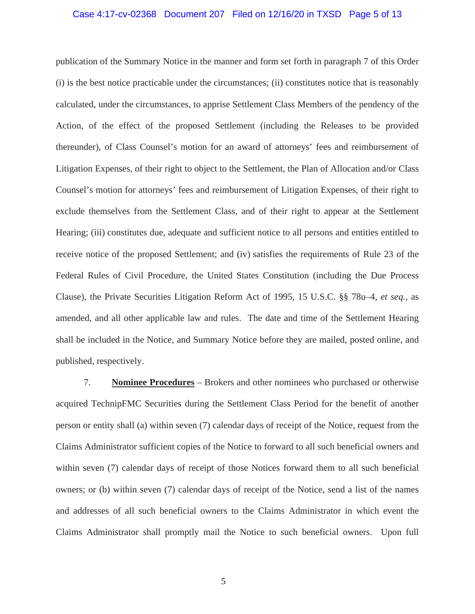# Case 4:17-cv-02368 Document 207 Filed on 12/16/20 in TXSD Page 5 of 13

publication of the Summary Notice in the manner and form set forth in paragraph 7 of this Order (i) is the best notice practicable under the circumstances; (ii) constitutes notice that is reasonably calculated, under the circumstances, to apprise Settlement Class Members of the pendency of the Action, of the effect of the proposed Settlement (including the Releases to be provided thereunder), of Class Counsel's motion for an award of attorneys' fees and reimbursement of Litigation Expenses, of their right to object to the Settlement, the Plan of Allocation and/or Class Counsel's motion for attorneys' fees and reimbursement of Litigation Expenses, of their right to exclude themselves from the Settlement Class, and of their right to appear at the Settlement Hearing; (iii) constitutes due, adequate and sufficient notice to all persons and entities entitled to receive notice of the proposed Settlement; and (iv) satisfies the requirements of Rule 23 of the Federal Rules of Civil Procedure, the United States Constitution (including the Due Process Clause), the Private Securities Litigation Reform Act of 1995, 15 U.S.C. §§ 78u–4, *et seq.,* as amended, and all other applicable law and rules. The date and time of the Settlement Hearing shall be included in the Notice, and Summary Notice before they are mailed, posted online, and published, respectively.

7. **Nominee Procedures** – Brokers and other nominees who purchased or otherwise acquired TechnipFMC Securities during the Settlement Class Period for the benefit of another person or entity shall (a) within seven (7) calendar days of receipt of the Notice, request from the Claims Administrator sufficient copies of the Notice to forward to all such beneficial owners and within seven (7) calendar days of receipt of those Notices forward them to all such beneficial owners; or (b) within seven (7) calendar days of receipt of the Notice, send a list of the names and addresses of all such beneficial owners to the Claims Administrator in which event the Claims Administrator shall promptly mail the Notice to such beneficial owners. Upon full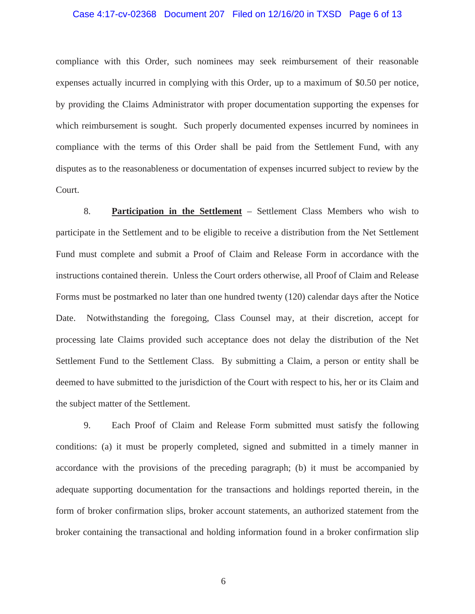# Case 4:17-cv-02368 Document 207 Filed on 12/16/20 in TXSD Page 6 of 13

compliance with this Order, such nominees may seek reimbursement of their reasonable expenses actually incurred in complying with this Order, up to a maximum of \$0.50 per notice, by providing the Claims Administrator with proper documentation supporting the expenses for which reimbursement is sought. Such properly documented expenses incurred by nominees in compliance with the terms of this Order shall be paid from the Settlement Fund, with any disputes as to the reasonableness or documentation of expenses incurred subject to review by the Court.

8. **Participation in the Settlement** – Settlement Class Members who wish to participate in the Settlement and to be eligible to receive a distribution from the Net Settlement Fund must complete and submit a Proof of Claim and Release Form in accordance with the instructions contained therein. Unless the Court orders otherwise, all Proof of Claim and Release Forms must be postmarked no later than one hundred twenty (120) calendar days after the Notice Date. Notwithstanding the foregoing, Class Counsel may, at their discretion, accept for processing late Claims provided such acceptance does not delay the distribution of the Net Settlement Fund to the Settlement Class. By submitting a Claim, a person or entity shall be deemed to have submitted to the jurisdiction of the Court with respect to his, her or its Claim and the subject matter of the Settlement.

9. Each Proof of Claim and Release Form submitted must satisfy the following conditions: (a) it must be properly completed, signed and submitted in a timely manner in accordance with the provisions of the preceding paragraph; (b) it must be accompanied by adequate supporting documentation for the transactions and holdings reported therein, in the form of broker confirmation slips, broker account statements, an authorized statement from the broker containing the transactional and holding information found in a broker confirmation slip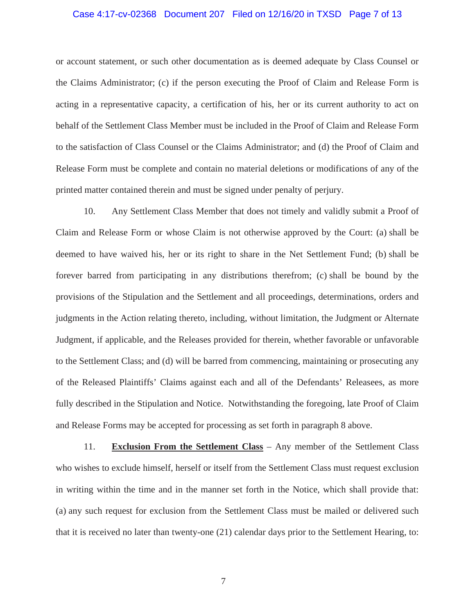# Case 4:17-cv-02368 Document 207 Filed on 12/16/20 in TXSD Page 7 of 13

or account statement, or such other documentation as is deemed adequate by Class Counsel or the Claims Administrator; (c) if the person executing the Proof of Claim and Release Form is acting in a representative capacity, a certification of his, her or its current authority to act on behalf of the Settlement Class Member must be included in the Proof of Claim and Release Form to the satisfaction of Class Counsel or the Claims Administrator; and (d) the Proof of Claim and Release Form must be complete and contain no material deletions or modifications of any of the printed matter contained therein and must be signed under penalty of perjury.

10. Any Settlement Class Member that does not timely and validly submit a Proof of Claim and Release Form or whose Claim is not otherwise approved by the Court: (a) shall be deemed to have waived his, her or its right to share in the Net Settlement Fund; (b) shall be forever barred from participating in any distributions therefrom; (c) shall be bound by the provisions of the Stipulation and the Settlement and all proceedings, determinations, orders and judgments in the Action relating thereto, including, without limitation, the Judgment or Alternate Judgment, if applicable, and the Releases provided for therein, whether favorable or unfavorable to the Settlement Class; and (d) will be barred from commencing, maintaining or prosecuting any of the Released Plaintiffs' Claims against each and all of the Defendants' Releasees, as more fully described in the Stipulation and Notice. Notwithstanding the foregoing, late Proof of Claim and Release Forms may be accepted for processing as set forth in paragraph 8 above.

11. **Exclusion From the Settlement Class** – Any member of the Settlement Class who wishes to exclude himself, herself or itself from the Settlement Class must request exclusion in writing within the time and in the manner set forth in the Notice, which shall provide that: (a) any such request for exclusion from the Settlement Class must be mailed or delivered such that it is received no later than twenty-one (21) calendar days prior to the Settlement Hearing, to: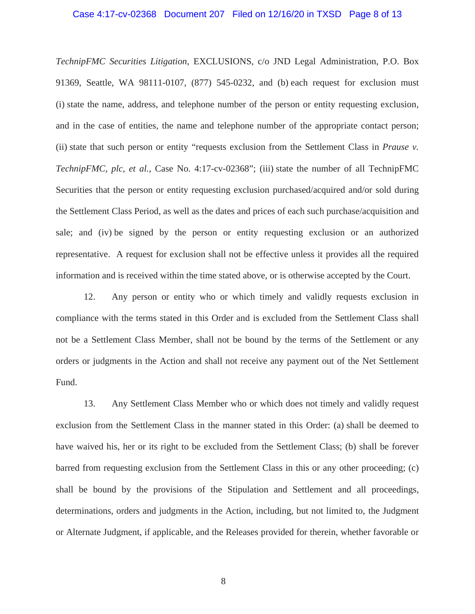### Case 4:17-cv-02368 Document 207 Filed on 12/16/20 in TXSD Page 8 of 13

*TechnipFMC Securities Litigation*, EXCLUSIONS, c/o JND Legal Administration, P.O. Box 91369, Seattle, WA 98111-0107, (877) 545-0232, and (b) each request for exclusion must (i) state the name, address, and telephone number of the person or entity requesting exclusion, and in the case of entities, the name and telephone number of the appropriate contact person; (ii) state that such person or entity "requests exclusion from the Settlement Class in *Prause v. TechnipFMC, plc, et al.*, Case No. 4:17-cv-02368"; (iii) state the number of all TechnipFMC Securities that the person or entity requesting exclusion purchased/acquired and/or sold during the Settlement Class Period, as well as the dates and prices of each such purchase/acquisition and sale; and (iv) be signed by the person or entity requesting exclusion or an authorized representative. A request for exclusion shall not be effective unless it provides all the required information and is received within the time stated above, or is otherwise accepted by the Court.

12. Any person or entity who or which timely and validly requests exclusion in compliance with the terms stated in this Order and is excluded from the Settlement Class shall not be a Settlement Class Member, shall not be bound by the terms of the Settlement or any orders or judgments in the Action and shall not receive any payment out of the Net Settlement Fund.

13. Any Settlement Class Member who or which does not timely and validly request exclusion from the Settlement Class in the manner stated in this Order: (a) shall be deemed to have waived his, her or its right to be excluded from the Settlement Class; (b) shall be forever barred from requesting exclusion from the Settlement Class in this or any other proceeding; (c) shall be bound by the provisions of the Stipulation and Settlement and all proceedings, determinations, orders and judgments in the Action, including, but not limited to, the Judgment or Alternate Judgment, if applicable, and the Releases provided for therein, whether favorable or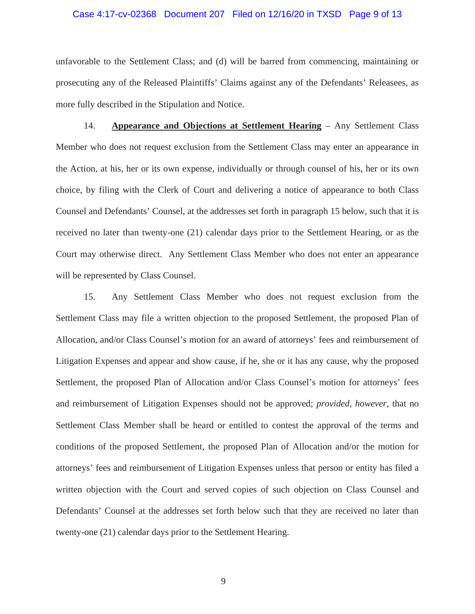### Case 4:17-cv-02368 Document 207 Filed on 12/16/20 in TXSD Page 9 of 13

unfavorable to the Settlement Class; and (d) will be barred from commencing, maintaining or prosecuting any of the Released Plaintiffs' Claims against any of the Defendants' Releasees, as more fully described in the Stipulation and Notice.

14. **Appearance and Objections at Settlement Hearing** – Any Settlement Class Member who does not request exclusion from the Settlement Class may enter an appearance in the Action, at his, her or its own expense, individually or through counsel of his, her or its own choice, by filing with the Clerk of Court and delivering a notice of appearance to both Class Counsel and Defendants' Counsel, at the addresses set forth in paragraph 15 below, such that it is received no later than twenty-one (21) calendar days prior to the Settlement Hearing, or as the Court may otherwise direct. Any Settlement Class Member who does not enter an appearance will be represented by Class Counsel.

15. Any Settlement Class Member who does not request exclusion from the Settlement Class may file a written objection to the proposed Settlement, the proposed Plan of Allocation, and/or Class Counsel's motion for an award of attorneys' fees and reimbursement of Litigation Expenses and appear and show cause, if he, she or it has any cause, why the proposed Settlement, the proposed Plan of Allocation and/or Class Counsel's motion for attorneys' fees and reimbursement of Litigation Expenses should not be approved; *provided, however*, that no Settlement Class Member shall be heard or entitled to contest the approval of the terms and conditions of the proposed Settlement, the proposed Plan of Allocation and/or the motion for attorneys' fees and reimbursement of Litigation Expenses unless that person or entity has filed a written objection with the Court and served copies of such objection on Class Counsel and Defendants' Counsel at the addresses set forth below such that they are received no later than twenty-one (21) calendar days prior to the Settlement Hearing.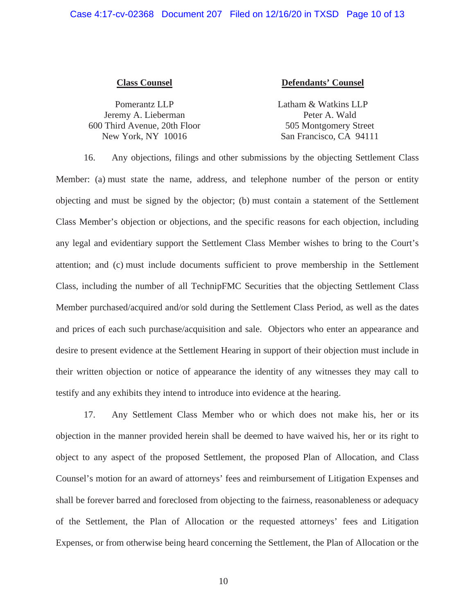### **Class Counsel**

Pomerantz LLP Jeremy A. Lieberman 600 Third Avenue, 20th Floor New York, NY 10016

# **Defendants' Counsel**

Latham & Watkins LLP Peter A. Wald 505 Montgomery Street San Francisco, CA 94111

16. Any objections, filings and other submissions by the objecting Settlement Class Member: (a) must state the name, address, and telephone number of the person or entity objecting and must be signed by the objector; (b) must contain a statement of the Settlement Class Member's objection or objections, and the specific reasons for each objection, including any legal and evidentiary support the Settlement Class Member wishes to bring to the Court's attention; and (c) must include documents sufficient to prove membership in the Settlement Class, including the number of all TechnipFMC Securities that the objecting Settlement Class Member purchased/acquired and/or sold during the Settlement Class Period, as well as the dates and prices of each such purchase/acquisition and sale. Objectors who enter an appearance and desire to present evidence at the Settlement Hearing in support of their objection must include in their written objection or notice of appearance the identity of any witnesses they may call to testify and any exhibits they intend to introduce into evidence at the hearing.

17. Any Settlement Class Member who or which does not make his, her or its objection in the manner provided herein shall be deemed to have waived his, her or its right to object to any aspect of the proposed Settlement, the proposed Plan of Allocation, and Class Counsel's motion for an award of attorneys' fees and reimbursement of Litigation Expenses and shall be forever barred and foreclosed from objecting to the fairness, reasonableness or adequacy of the Settlement, the Plan of Allocation or the requested attorneys' fees and Litigation Expenses, or from otherwise being heard concerning the Settlement, the Plan of Allocation or the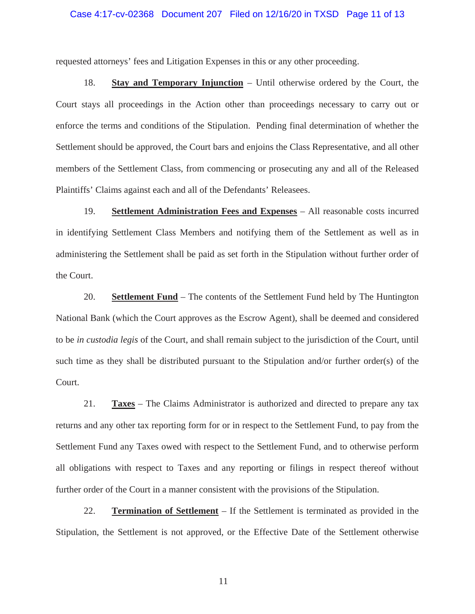### Case 4:17-cv-02368 Document 207 Filed on 12/16/20 in TXSD Page 11 of 13

requested attorneys' fees and Litigation Expenses in this or any other proceeding.

18. **Stay and Temporary Injunction** – Until otherwise ordered by the Court, the Court stays all proceedings in the Action other than proceedings necessary to carry out or enforce the terms and conditions of the Stipulation. Pending final determination of whether the Settlement should be approved, the Court bars and enjoins the Class Representative, and all other members of the Settlement Class, from commencing or prosecuting any and all of the Released Plaintiffs' Claims against each and all of the Defendants' Releasees.

19. **Settlement Administration Fees and Expenses** – All reasonable costs incurred in identifying Settlement Class Members and notifying them of the Settlement as well as in administering the Settlement shall be paid as set forth in the Stipulation without further order of the Court.

20. **Settlement Fund** – The contents of the Settlement Fund held by The Huntington National Bank (which the Court approves as the Escrow Agent), shall be deemed and considered to be *in custodia legis* of the Court, and shall remain subject to the jurisdiction of the Court, until such time as they shall be distributed pursuant to the Stipulation and/or further order(s) of the Court.

21. **Taxes** – The Claims Administrator is authorized and directed to prepare any tax returns and any other tax reporting form for or in respect to the Settlement Fund, to pay from the Settlement Fund any Taxes owed with respect to the Settlement Fund, and to otherwise perform all obligations with respect to Taxes and any reporting or filings in respect thereof without further order of the Court in a manner consistent with the provisions of the Stipulation.

22. **Termination of Settlement** – If the Settlement is terminated as provided in the Stipulation, the Settlement is not approved, or the Effective Date of the Settlement otherwise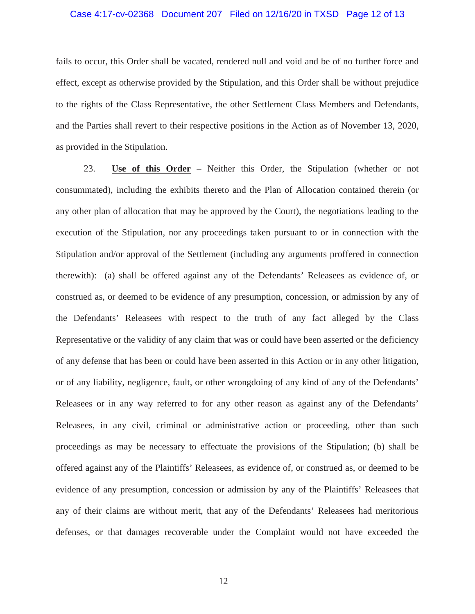# Case 4:17-cv-02368 Document 207 Filed on 12/16/20 in TXSD Page 12 of 13

fails to occur, this Order shall be vacated, rendered null and void and be of no further force and effect, except as otherwise provided by the Stipulation, and this Order shall be without prejudice to the rights of the Class Representative, the other Settlement Class Members and Defendants, and the Parties shall revert to their respective positions in the Action as of November 13, 2020, as provided in the Stipulation.

23. **Use of this Order** – Neither this Order, the Stipulation (whether or not consummated), including the exhibits thereto and the Plan of Allocation contained therein (or any other plan of allocation that may be approved by the Court), the negotiations leading to the execution of the Stipulation, nor any proceedings taken pursuant to or in connection with the Stipulation and/or approval of the Settlement (including any arguments proffered in connection therewith): (a) shall be offered against any of the Defendants' Releasees as evidence of, or construed as, or deemed to be evidence of any presumption, concession, or admission by any of the Defendants' Releasees with respect to the truth of any fact alleged by the Class Representative or the validity of any claim that was or could have been asserted or the deficiency of any defense that has been or could have been asserted in this Action or in any other litigation, or of any liability, negligence, fault, or other wrongdoing of any kind of any of the Defendants' Releasees or in any way referred to for any other reason as against any of the Defendants' Releasees, in any civil, criminal or administrative action or proceeding, other than such proceedings as may be necessary to effectuate the provisions of the Stipulation; (b) shall be offered against any of the Plaintiffs' Releasees, as evidence of, or construed as, or deemed to be evidence of any presumption, concession or admission by any of the Plaintiffs' Releasees that any of their claims are without merit, that any of the Defendants' Releasees had meritorious defenses, or that damages recoverable under the Complaint would not have exceeded the